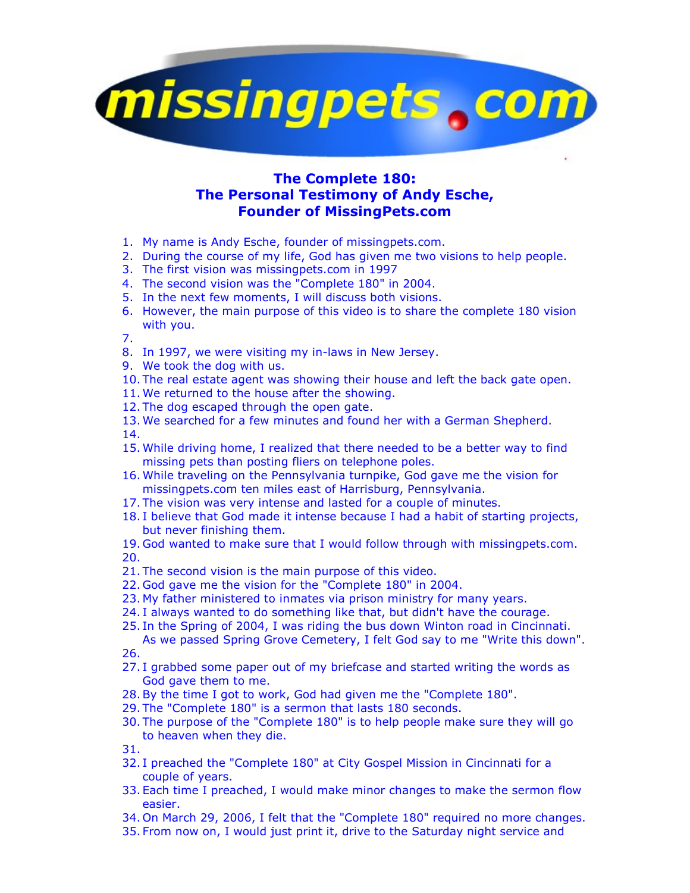

## **The Complete 180: The Personal Testimony of Andy Esche, Founder of MissingPets.com**

- 1. My name is Andy Esche, founder of missingpets.com.
- 2. During the course of my life, God has given me two visions to help people.
- 3. The first vision was missingpets.com in 1997
- 4. The second vision was the "Complete 180" in 2004.
- 5. In the next few moments, I will discuss both visions.
- 6. However, the main purpose of this video is to share the complete 180 vision with you.

7.

- 8. In 1997, we were visiting my in-laws in New Jersey.
- 9. We took the dog with us.
- 10. The real estate agent was showing their house and left the back gate open.
- 11. We returned to the house after the showing.
- 12. The dog escaped through the open gate.
- 13. We searched for a few minutes and found her with a German Shepherd. 14.
- 15. While driving home, I realized that there needed to be a better way to find missing pets than posting fliers on telephone poles.
- 16. While traveling on the Pennsylvania turnpike, God gave me the vision for missingpets.com ten miles east of Harrisburg, Pennsylvania.
- 17. The vision was very intense and lasted for a couple of minutes.
- 18. I believe that God made it intense because I had a habit of starting projects, but never finishing them.
- 19. God wanted to make sure that I would follow through with missingpets.com. 20.
- 21. The second vision is the main purpose of this video.
- 22. God gave me the vision for the "Complete 180" in 2004.
- 23. My father ministered to inmates via prison ministry for many years.
- 24. I always wanted to do something like that, but didn't have the courage.
- 25. In the Spring of 2004, I was riding the bus down Winton road in Cincinnati. As we passed Spring Grove Cemetery, I felt God say to me "Write this down".

26.

- 27. I grabbed some paper out of my briefcase and started writing the words as God gave them to me.
- 28.By the time I got to work, God had given me the "Complete 180".
- 29. The "Complete 180" is a sermon that lasts 180 seconds.
- 30. The purpose of the "Complete 180" is to help people make sure they will go to heaven when they die.

31.

- 32. I preached the "Complete 180" at City Gospel Mission in Cincinnati for a couple of years.
- 33. Each time I preached, I would make minor changes to make the sermon flow easier.
- 34. On March 29, 2006, I felt that the "Complete 180" required no more changes.
- 35. From now on, I would just print it, drive to the Saturday night service and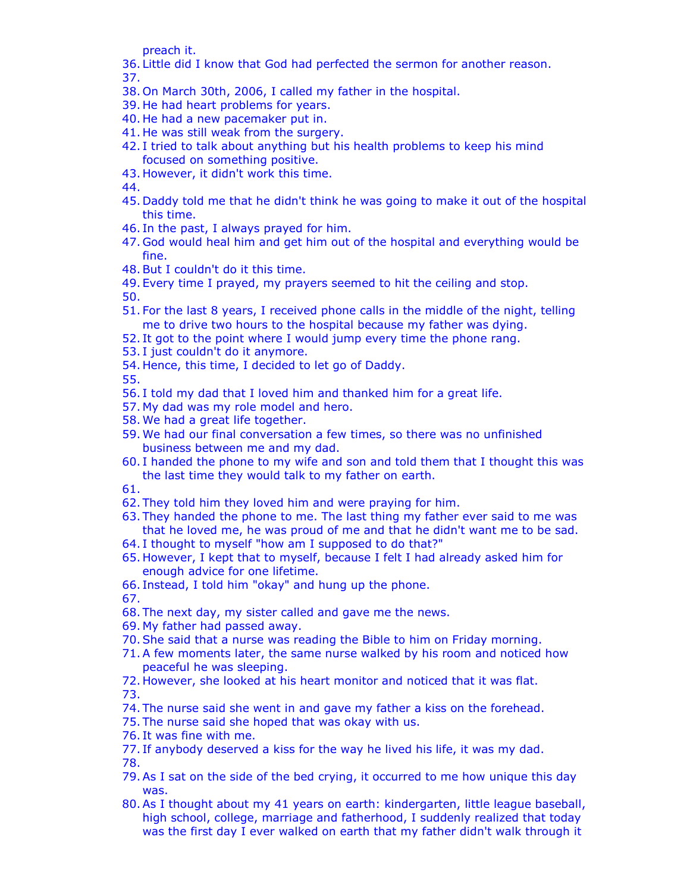preach it.

- 36. Little did I know that God had perfected the sermon for another reason. 37.
- 38. On March 30th, 2006, I called my father in the hospital.
- 39. He had heart problems for years.
- 40. He had a new pacemaker put in.
- 41. He was still weak from the surgery.
- 42. I tried to talk about anything but his health problems to keep his mind focused on something positive.
- 43. However, it didn't work this time.

44.

- 45. Daddy told me that he didn't think he was going to make it out of the hospital this time.
- 46. In the past, I always prayed for him.
- 47. God would heal him and get him out of the hospital and everything would be fine.
- 48.But I couldn't do it this time.
- 49. Every time I prayed, my prayers seemed to hit the ceiling and stop.

50.

- 51. For the last 8 years, I received phone calls in the middle of the night, telling me to drive two hours to the hospital because my father was dying.
- 52. It got to the point where I would jump every time the phone rang.
- 53. I just couldn't do it anymore.
- 54. Hence, this time, I decided to let go of Daddy.

55.

- 56. I told my dad that I loved him and thanked him for a great life.
- 57. My dad was my role model and hero.
- 58. We had a great life together.
- 59. We had our final conversation a few times, so there was no unfinished business between me and my dad.
- 60. I handed the phone to my wife and son and told them that I thought this was the last time they would talk to my father on earth.

61.

- 62. They told him they loved him and were praying for him.
- 63. They handed the phone to me. The last thing my father ever said to me was that he loved me, he was proud of me and that he didn't want me to be sad.
- 64. I thought to myself "how am I supposed to do that?"
- 65. However, I kept that to myself, because I felt I had already asked him for enough advice for one lifetime.
- 66. Instead, I told him "okay" and hung up the phone.

67.

- 68. The next day, my sister called and gave me the news.
- 69. My father had passed away.
- 70.She said that a nurse was reading the Bible to him on Friday morning.
- 71.A few moments later, the same nurse walked by his room and noticed how peaceful he was sleeping.
- 72. However, she looked at his heart monitor and noticed that it was flat. 73.
- 74. The nurse said she went in and gave my father a kiss on the forehead.
- 75. The nurse said she hoped that was okay with us.
- 76. It was fine with me.
- 77. If anybody deserved a kiss for the way he lived his life, it was my dad. 78.
- 79.As I sat on the side of the bed crying, it occurred to me how unique this day was.
- 80.As I thought about my 41 years on earth: kindergarten, little league baseball, high school, college, marriage and fatherhood, I suddenly realized that today was the first day I ever walked on earth that my father didn't walk through it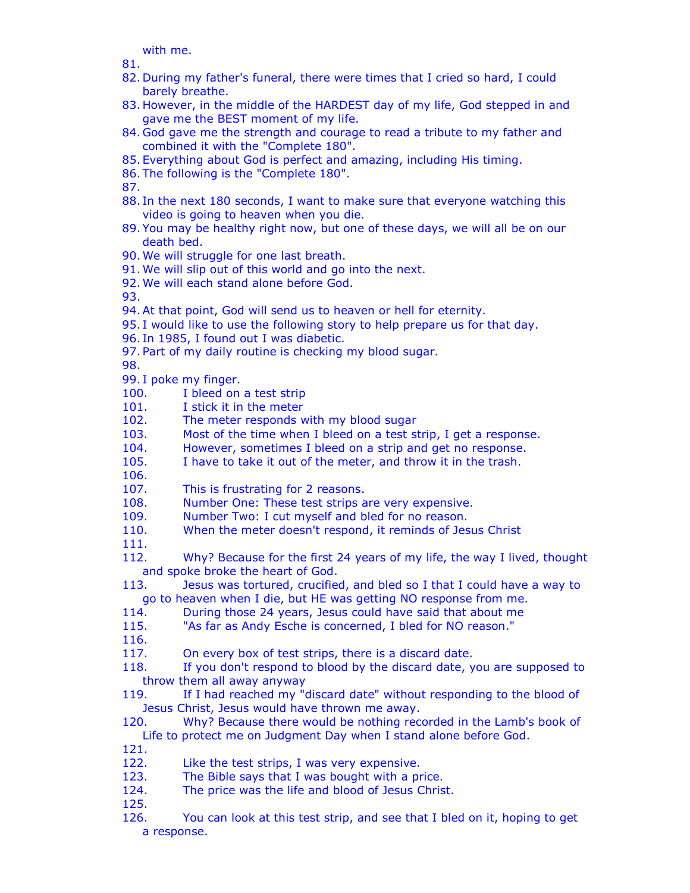with me.

81.

- 82. During my father's funeral, there were times that I cried so hard, I could barely breathe.
- 83. However, in the middle of the HARDEST day of my life, God stepped in and gave me the BEST moment of my life.
- 84. God gave me the strength and courage to read a tribute to my father and combined it with the "Complete 180".
- 85. Everything about God is perfect and amazing, including His timing.
- 86. The following is the "Complete 180".

87.

- 88. In the next 180 seconds, I want to make sure that everyone watching this video is going to heaven when you die.
- 89. You may be healthy right now, but one of these days, we will all be on our death bed.
- 90. We will struggle for one last breath.
- 91. We will slip out of this world and go into the next.
- 92. We will each stand alone before God.

93.

- 94.At that point, God will send us to heaven or hell for eternity.
- 95. I would like to use the following story to help prepare us for that day.
- 96. In 1985, I found out I was diabetic.
- 97. Part of my daily routine is checking my blood sugar.

98.

99. I poke my finger.

- 100. I bleed on a test strip
- 101. I stick it in the meter
- 102. The meter responds with my blood sugar
- 103. Most of the time when I bleed on a test strip, I get a response.
- 104. However, sometimes I bleed on a strip and get no response.
- 105. I have to take it out of the meter, and throw it in the trash.

106.

- 107. This is frustrating for 2 reasons.
- 108. Number One: These test strips are very expensive.
- 109. Number Two: I cut myself and bled for no reason.
- 110. When the meter doesn't respond, it reminds of Jesus Christ

111.

112. Why? Because for the first 24 years of my life, the way I lived, thought and spoke broke the heart of God.

- 113. Jesus was tortured, crucified, and bled so I that I could have a way to go to heaven when I die, but HE was getting NO response from me.
- 114. During those 24 years, Jesus could have said that about me
- 115. "As far as Andy Esche is concerned, I bled for NO reason."
- 116.

117. On every box of test strips, there is a discard date.

- 118. If you don't respond to blood by the discard date, you are supposed to throw them all away anyway
- 119. If I had reached my "discard date" without responding to the blood of Jesus Christ, Jesus would have thrown me away.
- 120. Why? Because there would be nothing recorded in the Lamb's book of Life to protect me on Judgment Day when I stand alone before God.
- 121.
- 122. Like the test strips, I was very expensive.
- 123. The Bible says that I was bought with a price.
- 124. The price was the life and blood of Jesus Christ.
- 125.
- 126. You can look at this test strip, and see that I bled on it, hoping to get a response.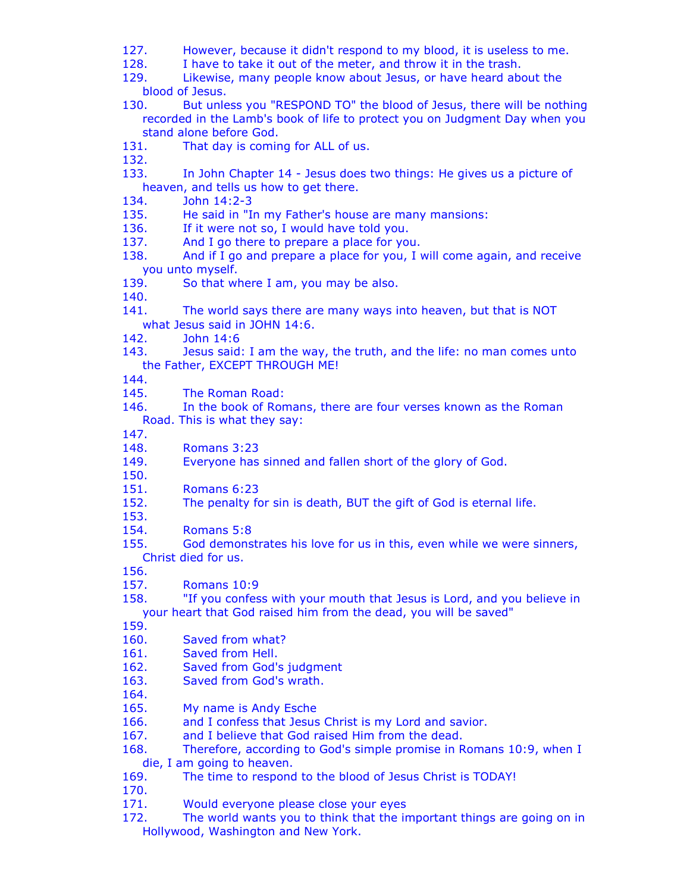- 127. However, because it didn't respond to my blood, it is useless to me.
- 128. I have to take it out of the meter, and throw it in the trash.
- 129. Likewise, many people know about Jesus, or have heard about the blood of Jesus.
- 130. But unless you "RESPOND TO" the blood of Jesus, there will be nothing recorded in the Lamb's book of life to protect you on Judgment Day when you stand alone before God.
- 131. That day is coming for ALL of us.
- 132.
- 133. In John Chapter 14 Jesus does two things: He gives us a picture of heaven, and tells us how to get there.<br>134. **John 14:2-3**
- John 14:2-3
- 135. He said in "In my Father's house are many mansions:
- 136. If it were not so, I would have told you.
- 137. And I go there to prepare a place for you.
- 138. And if I go and prepare a place for you, I will come again, and receive you unto myself.
- 139. So that where I am, you may be also.
- 140.
- 141. The world says there are many ways into heaven, but that is NOT what Jesus said in JOHN 14:6.
- 142. John 14:6
- 143. Jesus said: I am the way, the truth, and the life: no man comes unto the Father, EXCEPT THROUGH ME!
- 144.
- 145. The Roman Road:
- 146. In the book of Romans, there are four verses known as the Roman Road. This is what they say:
- 147.
- 148. Romans 3:23
- 149. Everyone has sinned and fallen short of the glory of God.
- 150.
- 151. Romans 6:23
- 152. The penalty for sin is death, BUT the gift of God is eternal life.
- 153. 154. Romans 5:8
- 155. God demonstrates his love for us in this, even while we were sinners, Christ died for us.
- 156.
- 157. Romans 10:9
- 158. "If you confess with your mouth that Jesus is Lord, and you believe in your heart that God raised him from the dead, you will be saved"
- 159.
- 160. Saved from what?
- 161. Saved from Hell.
- 162. Saved from God's judgment
- 163. Saved from God's wrath.
- 164.
- 165. My name is Andy Esche
- 166. and I confess that Jesus Christ is my Lord and savior.
- 167. and I believe that God raised Him from the dead.
- 168. Therefore, according to God's simple promise in Romans 10:9, when I die, I am going to heaven.
- 169. The time to respond to the blood of Jesus Christ is TODAY!
- 170.
- 171. Would everyone please close your eyes
- 172. The world wants you to think that the important things are going on in Hollywood, Washington and New York.